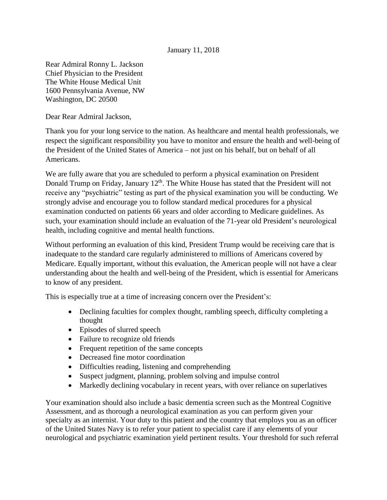## January 11, 2018

Rear Admiral Ronny L. Jackson Chief Physician to the President The White House Medical Unit 1600 Pennsylvania Avenue, NW Washington, DC 20500

Dear Rear Admiral Jackson,

Thank you for your long service to the nation. As healthcare and mental health professionals, we respect the significant responsibility you have to monitor and ensure the health and well-being of the President of the United States of America – not just on his behalf, but on behalf of all Americans.

We are fully aware that you are scheduled to perform a physical examination on President Donald Trump on Friday, January 12<sup>th</sup>. The White House has stated that the President will not receive any "psychiatric" testing as part of the physical examination you will be conducting. We strongly advise and encourage you to follow standard medical procedures for a physical examination conducted on patients 66 years and older according to Medicare guidelines. As such, your examination should include an evaluation of the 71-year old President's neurological health, including cognitive and mental health functions.

Without performing an evaluation of this kind, President Trump would be receiving care that is inadequate to the standard care regularly administered to millions of Americans covered by Medicare. Equally important, without this evaluation, the American people will not have a clear understanding about the health and well-being of the President, which is essential for Americans to know of any president.

This is especially true at a time of increasing concern over the President's:

- Declining faculties for complex thought, rambling speech, difficulty completing a thought
- Episodes of slurred speech
- Failure to recognize old friends
- Frequent repetition of the same concepts
- Decreased fine motor coordination
- Difficulties reading, listening and comprehending
- Suspect judgment, planning, problem solving and impulse control
- Markedly declining vocabulary in recent years, with over reliance on superlatives

Your examination should also include a basic dementia screen such as the Montreal Cognitive Assessment, and as thorough a neurological examination as you can perform given your specialty as an internist. Your duty to this patient and the country that employs you as an officer of the United States Navy is to refer your patient to specialist care if any elements of your neurological and psychiatric examination yield pertinent results. Your threshold for such referral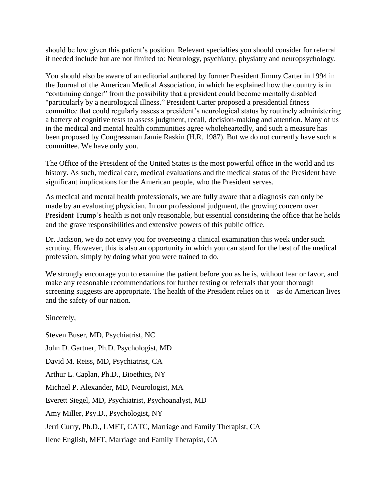should be low given this patient's position. Relevant specialties you should consider for referral if needed include but are not limited to: Neurology, psychiatry, physiatry and neuropsychology.

You should also be aware of an editorial authored by former President Jimmy Carter in 1994 in the Journal of the American Medical Association, in which he explained how the country is in "continuing danger" from the possibility that a president could become mentally disabled "particularly by a neurological illness." President Carter proposed a presidential fitness committee that could regularly assess a president's neurological status by routinely administering a battery of cognitive tests to assess judgment, recall, decision-making and attention. Many of us in the medical and mental health communities agree wholeheartedly, and such a measure has been proposed by Congressman Jamie Raskin (H.R. 1987). But we do not currently have such a committee. We have only you.

The Office of the President of the United States is the most powerful office in the world and its history. As such, medical care, medical evaluations and the medical status of the President have significant implications for the American people, who the President serves.

As medical and mental health professionals, we are fully aware that a diagnosis can only be made by an evaluating physician. In our professional judgment, the growing concern over President Trump's health is not only reasonable, but essential considering the office that he holds and the grave responsibilities and extensive powers of this public office.

Dr. Jackson, we do not envy you for overseeing a clinical examination this week under such scrutiny. However, this is also an opportunity in which you can stand for the best of the medical profession, simply by doing what you were trained to do.

We strongly encourage you to examine the patient before you as he is, without fear or favor, and make any reasonable recommendations for further testing or referrals that your thorough screening suggests are appropriate. The health of the President relies on  $it - as$  do American lives and the safety of our nation.

Sincerely,

Steven Buser, MD, Psychiatrist, NC John D. Gartner, Ph.D. Psychologist, MD David M. Reiss, MD, Psychiatrist, CA Arthur L. Caplan, Ph.D., Bioethics, NY Michael P. Alexander, MD, Neurologist, MA Everett Siegel, MD, Psychiatrist, Psychoanalyst, MD Amy Miller, Psy.D., Psychologist, NY Jerri Curry, Ph.D., LMFT, CATC, Marriage and Family Therapist, CA Ilene English, MFT, Marriage and Family Therapist, CA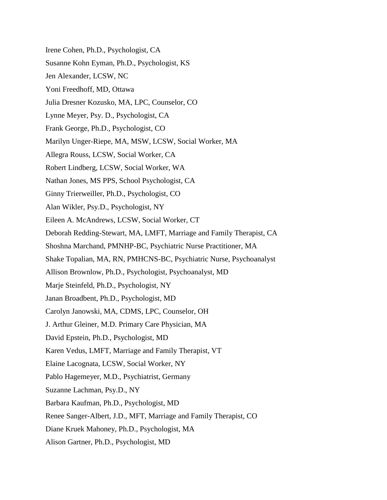Irene Cohen, Ph.D., Psychologist, CA Susanne Kohn Eyman, Ph.D., Psychologist, KS Jen Alexander, LCSW, NC Yoni Freedhoff, MD, Ottawa Julia Dresner Kozusko, MA, LPC, Counselor, CO Lynne Meyer, Psy. D., Psychologist, CA Frank George, Ph.D., Psychologist, CO Marilyn Unger-Riepe, MA, MSW, LCSW, Social Worker, MA Allegra Rouss, LCSW, Social Worker, CA Robert Lindberg, LCSW, Social Worker, WA Nathan Jones, MS PPS, School Psychologist, CA Ginny Trierweiller, Ph.D., Psychologist, CO Alan Wikler, Psy.D., Psychologist, NY Eileen A. McAndrews, LCSW, Social Worker, CT Deborah Redding-Stewart, MA, LMFT, Marriage and Family Therapist, CA Shoshna Marchand, PMNHP-BC, Psychiatric Nurse Practitioner, MA Shake Topalian, MA, RN, PMHCNS-BC, Psychiatric Nurse, Psychoanalyst Allison Brownlow, Ph.D., Psychologist, Psychoanalyst, MD Marje Steinfeld, Ph.D., Psychologist, NY Janan Broadbent, Ph.D., Psychologist, MD Carolyn Janowski, MA, CDMS, LPC, Counselor, OH J. Arthur Gleiner, M.D. Primary Care Physician, MA David Epstein, Ph.D., Psychologist, MD Karen Vedus, LMFT, Marriage and Family Therapist, VT Elaine Lacognata, LCSW, Social Worker, NY Pablo Hagemeyer, M.D., Psychiatrist, Germany Suzanne Lachman, Psy.D., NY Barbara Kaufman, Ph.D., Psychologist, MD Renee Sanger-Albert, J.D., MFT, Marriage and Family Therapist, CO Diane Kruek Mahoney, Ph.D., Psychologist, MA Alison Gartner, Ph.D., Psychologist, MD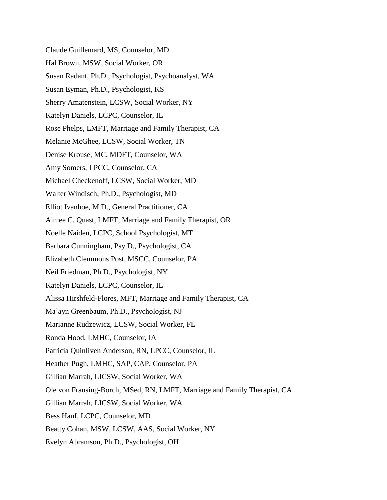- Claude Guillemard, MS, Counselor, MD
- Hal Brown, MSW, Social Worker, OR
- Susan Radant, Ph.D., Psychologist, Psychoanalyst, WA
- Susan Eyman, Ph.D., Psychologist, KS
- Sherry Amatenstein, LCSW, Social Worker, NY
- Katelyn Daniels, LCPC, Counselor, IL
- Rose Phelps, LMFT, Marriage and Family Therapist, CA
- Melanie McGhee, LCSW, Social Worker, TN
- Denise Krouse, MC, MDFT, Counselor, WA
- Amy Somers, LPCC, Counselor, CA
- Michael Checkenoff, LCSW, Social Worker, MD
- Walter Windisch, Ph.D., Psychologist, MD
- Elliot Ivanhoe, M.D., General Practitioner, CA
- Aimee C. Quast, LMFT, Marriage and Family Therapist, OR
- Noelle Naiden, LCPC, School Psychologist, MT
- Barbara Cunningham, Psy.D., Psychologist, CA
- Elizabeth Clemmons Post, MSCC, Counselor, PA
- Neil Friedman, Ph.D., Psychologist, NY
- Katelyn Daniels, LCPC, Counselor, IL
- Alissa Hirshfeld-Flores, MFT, Marriage and Family Therapist, CA
- Ma'ayn Greenbaum, Ph.D., Psychologist, NJ
- Marianne Rudzewicz, LCSW, Social Worker, FL
- Ronda Hood, LMHC, Counselor, IA
- Patricia Quinliven Anderson, RN, LPCC, Counselor, IL
- Heather Pugh, LMHC, SAP, CAP, Counselor, PA
- Gillian Marrah, LICSW, Social Worker, WA
- Ole von Frausing-Borch, MSed, RN, LMFT, Marriage and Family Therapist, CA
- Gillian Marrah, LICSW, Social Worker, WA
- Bess Hauf, LCPC, Counselor, MD
- Beatty Cohan, MSW, LCSW, AAS, Social Worker, NY
- Evelyn Abramson, Ph.D., Psychologist, OH